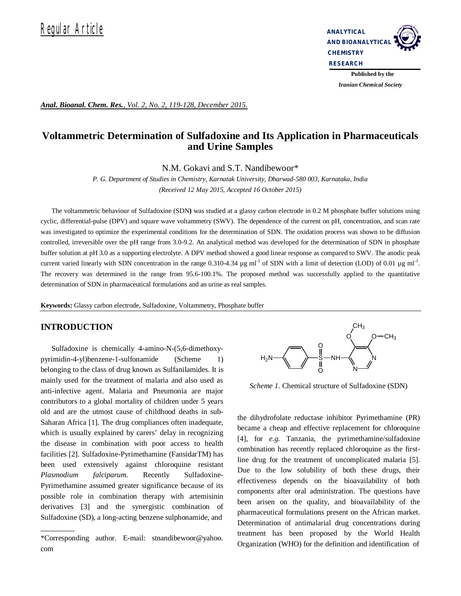

 *Iranian Chemical Society* 

*Anal. Bioanal. Chem. Res., Vol. 2, No. 2, 119-128, December 2015.*

# **Voltammetric Determination of Sulfadoxine and Its Application in Pharmaceuticals and Urine Samples**

N.M. Gokavi and S.T. Nandibewoor\*

*P. G. Department of Studies in Chemistry, Karnatak University, Dharwad-580 003, Karnataka, India (Received 12 May 2015, Accepted 16 October 2015)*

The voltammetric behaviour of Sulfadoxine (SDN**)** was studied at a glassy carbon electrode in 0.2 M phosphate buffer solutions using cyclic, differential-pulse (DPV) and square wave voltammetry (SWV). The dependence of the current on pH, concentration, and scan rate was investigated to optimize the experimental conditions for the determination of SDN. The oxidation process was shown to be diffusion controlled, irreversible over the pH range from 3.0-9.2. An analytical method was developed for the determination of SDN in phosphate buffer solution at pH 3.0 as a supporting electrolyte. A DPV method showed a good linear response as compared to SWV. The anodic peak current varied linearly with SDN concentration in the range  $0.310$ -4.34  $\mu$ g ml<sup>-1</sup> of SDN with a limit of detection (LOD) of 0.01  $\mu$ g ml<sup>-1</sup>. The recovery was determined in the range from 95.6-100.1%. The proposed method was successfully applied to the quantitative determination of SDN in pharmaceutical formulations and an urine as real samples.

**Keywords:** Glassy carbon electrode, Sulfadoxine, Voltammetry, Phosphate buffer

## **INTRODUCTION**

Sulfadoxine is chemically 4-amino-N-(5,6-dimethoxypyrimidin-4-yl)benzene-1-sulfonamide (Scheme 1) belonging to the class of drug known as Sulfanilamides. It is mainly used for the treatment of malaria and also used as anti-infective agent. Malaria and Pneumonia are major contributors to a global mortality of children under 5 years old and are the utmost cause of childhood deaths in sub-Saharan Africa [1]. The drug compliances often inadequate, which is usually explained by carers' delay in recognizing the disease in combination with poor access to health facilities [2]. Sulfadoxine-Pyrimethamine (FansidarTM) has been used extensively against chloroquine resistant *Plasmodium falciparum*. Recently Sulfadoxine-Pyrimethamine assumed greater significance because of its possible role in combination therapy with artemisinin derivatives [3] and the synergistic combination of Sulfadoxine (SD), a long-acting benzene sulphonamide, and



*Scheme 1*. Chemical structure of Sulfadoxine (SDN)

the dihydrofolate reductase inhibitor Pyrimethamine (PR) became a cheap and effective replacement for chloroquine [4], for *e.g.* Tanzania, the pyrimethamine/sulfadoxine combination has recently replaced chloroquine as the firstline drug for the treatment of uncomplicated malaria [5]. Due to the low solubility of both these drugs, their effectiveness depends on the bioavailability of both components after oral administration. The questions have been arisen on the quality, and bioavailability of the pharmaceutical formulations present on the African market. Determination of antimalarial drug concentrations during treatment has been proposed by the World Health Organization (WHO) for the definition and identification of

<sup>\*</sup>Corresponding author. E-mail: stnandibewoor@yahoo. com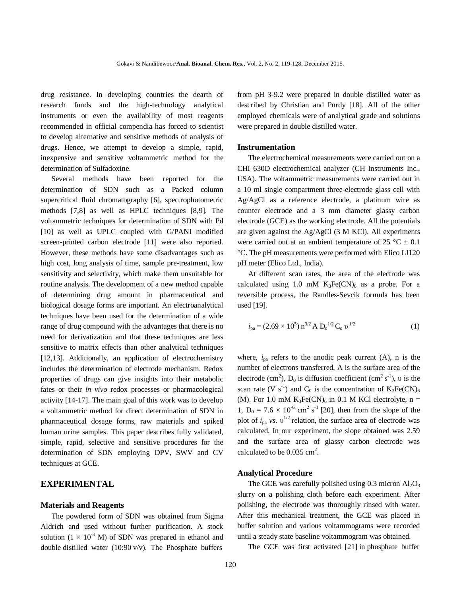drug resistance. In developing countries the dearth of research funds and the high-technology analytical instruments or even the availability of most reagents recommended in official compendia has forced to scientist to develop alternative and sensitive methods of analysis of drugs. Hence, we attempt to develop a simple, rapid, inexpensive and sensitive voltammetric method for the determination of Sulfadoxine.

Several methods have been reported for the determination of SDN such as a Packed column supercritical fluid chromatography [6], spectrophotometric methods [7,8] as well as HPLC techniques [8,9]. The voltammetric techniques for determination of SDN with Pd [10] as well as UPLC coupled with G/PANI modified screen-printed carbon electrode [11] were also reported. However, these methods have some disadvantages such as high cost, long analysis of time, sample pre-treatment, low sensitivity and selectivity, which make them unsuitable for routine analysis. The development of a new method capable of determining drug amount in pharmaceutical and biological dosage forms are important. An electroanalytical techniques have been used for the determination of a wide range of drug compound with the advantages that there is no need for derivatization and that these techniques are less sensitive to matrix effects than other analytical techniques [12,13]. Additionally, an application of electrochemistry includes the determination of electrode mechanism. Redox properties of drugs can give insights into their metabolic fates or their *in vivo* redox processes or pharmacological activity [14-17]. The main goal of this work was to develop a voltammetric method for direct determination of SDN in pharmaceutical dosage forms, raw materials and spiked human urine samples. This paper describes fully validated, simple, rapid, selective and sensitive procedures for the determination of SDN employing DPV, SWV and CV techniques at GCE.

# **EXPERIMENTAL**

#### **Materials and Reagents**

The powdered form of SDN was obtained from Sigma Aldrich and used without further purification. A stock solution  $(1 \times 10^{-3}$  M) of SDN was prepared in ethanol and double distilled water (10:90 v/v). The Phosphate buffers

from pH 3-9.2 were prepared in double distilled water as described by Christian and Purdy [18]*.* All of the other employed chemicals were of analytical grade and solutions were prepared in double distilled water.

#### **Instrumentation**

The electrochemical measurements were carried out on a CHI 630D electrochemical analyzer (CH Instruments Inc., USA). The voltammetric measurements were carried out in a 10 ml single compartment three-electrode glass cell with Ag/AgCl as a reference electrode, a platinum wire as counter electrode and a 3 mm diameter glassy carbon electrode (GCE) as the working electrode. All the potentials are given against the Ag/AgCl (3 M KCl). All experiments were carried out at an ambient temperature of 25 °C  $\pm$  0.1 °C. The pH measurements were performed with Elico LI120 pH meter (Elico Ltd., India).

At different scan rates, the area of the electrode was calculated using 1.0 mM  $K_3Fe(CN)_6$  as a probe. For a reversible process, the Randles-Sevcik formula has been used [19].

$$
i_{\text{pa}} = (2.69 \times 10^5) \,\text{n}^{3/2} \,\text{A} \,\text{D}_\text{o}^{\,1/2} \,\text{C}_\text{o} \,\text{v}^{\,1/2} \tag{1}
$$

where,  $i_{pa}$  refers to the anodic peak current (A), n is the number of electrons transferred, A is the surface area of the electrode (cm<sup>2</sup>),  $D_0$  is diffusion coefficient (cm<sup>2</sup> s<sup>-1</sup>), v is the scan rate (V s<sup>-1</sup>) and C<sub>0</sub> is the concentration of  $K_3Fe(CN)_6$ (M). For 1.0 mM  $K_3Fe(CN)_6$  in 0.1 M KCl electrolyte, n = 1,  $D_0 = 7.6 \times 10^{-6}$  cm<sup>2</sup> s<sup>-1</sup> [20], then from the slope of the plot of  $i_{pa}$  *vs*.  $v^{1/2}$  relation, the surface area of electrode was calculated. In our experiment, the slope obtained was 2.59 and the surface area of glassy carbon electrode was calculated to be  $0.035 \text{ cm}^2$ .

#### **Analytical Procedure**

The GCE was carefully polished using  $0.3$  micron  $Al_2O_3$ slurry on a polishing cloth before each experiment. After polishing, the electrode was thoroughly rinsed with water. After this mechanical treatment, the GCE was placed in buffer solution and various voltammograms were recorded until a steady state baseline voltammogram was obtained.

The GCE was first activated [21] in phosphate buffer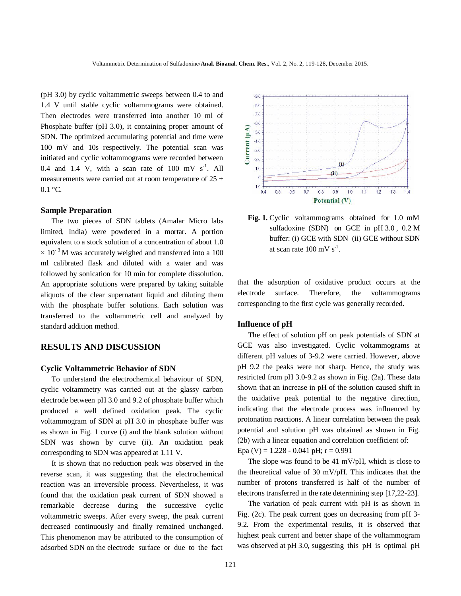(pH 3.0) by cyclic voltammetric sweeps between 0.4 to and 1.4 V until stable cyclic voltammograms were obtained. Then electrodes were transferred into another 10 ml of Phosphate buffer (pH 3.0), it containing proper amount of SDN. The optimized accumulating potential and time were 100 mV and 10s respectively. The potential scan was initiated and cyclic voltammograms were recorded between 0.4 and 1.4 V, with a scan rate of 100 mV  $s^{-1}$ . All measurements were carried out at room temperature of  $25 \pm$  $0.1 \degree C$ .

#### **Sample Preparation**

The two pieces of SDN tablets (Amalar Micro labs limited, India) were powdered in a mortar. A portion equivalent to a stock solution of a concentration of about 1.0  $\times$  10<sup>-3</sup>M was accurately weighed and transferred into a 100 ml calibrated flask and diluted with a water and was followed by sonication for 10 min for complete dissolution. An appropriate solutions were prepared by taking suitable aliquots of the clear supernatant liquid and diluting them with the phosphate buffer solutions. Each solution was transferred to the voltammetric cell and analyzed by standard addition method.

## **RESULTS AND DISCUSSION**

#### **Cyclic Voltammetric Behavior of SDN**

To understand the electrochemical behaviour of SDN, cyclic voltammetry was carried out at the glassy carbon electrode between pH 3.0 and 9.2 of phosphate buffer which produced a well defined oxidation peak. The cyclic voltammogram of SDN at pH 3.0 in phosphate buffer was as shown in Fig. 1 curve (i) and the blank solution without SDN was shown by curve (ii). An oxidation peak corresponding to SDN was appeared at 1.11 V.

It is shown that no reduction peak was observed in the reverse scan, it was suggesting that the electrochemical reaction was an irreversible process. Nevertheless, it was found that the oxidation peak current of SDN showed a remarkable decrease during the successive cyclic voltammetric sweeps. After every sweep, the peak current decreased continuously and finally remained unchanged. This phenomenon may be attributed to the consumption of adsorbed SDN on the electrode surface or due to the fact



 **Fig. 1.** Cyclic voltammograms obtained for 1.0 mM sulfadoxine (SDN) on GCE in pH 3.0 , 0.2 M buffer: (i) GCE with SDN (ii) GCE without SDN at scan rate  $100 \text{ mV s}^{-1}$ .

that the adsorption of oxidative product occurs at the electrode surface. Therefore, the voltammograms corresponding to the first cycle was generally recorded.

#### **Influence of pH**

The effect of solution pH on peak potentials of SDN at GCE was also investigated. Cyclic voltammograms at different pH values of 3-9.2 were carried. However, above pH 9.2 the peaks were not sharp. Hence, the study was restricted from pH 3.0-9.2 as shown in Fig. (2a). These data shown that an increase in pH of the solution caused shift in the oxidative peak potential to the negative direction, indicating that the electrode process was influenced by protonation reactions. A linear correlation between the peak potential and solution pH was obtained as shown in Fig. (2b) with a linear equation and correlation coefficient of:

Epa (V) =  $1.228 - 0.041$  pH;  $r = 0.991$ 

The slope was found to be 41 mV/pH, which is close to the theoretical value of 30 mV/pH. This indicates that the number of protons transferred is half of the number of electrons transferred in the rate determining step [17,22-23].

The variation of peak current with pH is as shown in Fig. (2c). The peak current goes on decreasing from pH 3- 9.2. From the experimental results, it is observed that highest peak current and better shape of the voltammogram was observed at pH 3.0, suggesting this pH is optimal pH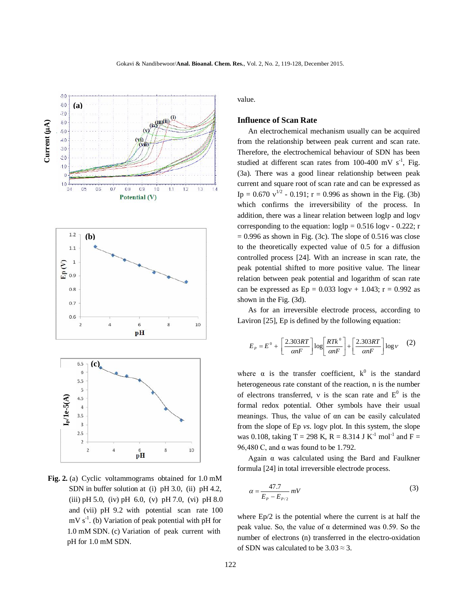

 **Fig. 2.** (a) Cyclic voltammograms obtained for 1.0 mM SDN in buffer solution at (i) pH 3.0, (ii) pH 4.2, (iii) pH 5.0, (iv) pH 6.0, (v) pH 7.0, (vi) pH 8.0 and (vii) pH 9.2 with potential scan rate 100  $mV s^{-1}$ . (b) Variation of peak potential with pH for 1.0 mM SDN. (c) Variation of peak current with pH for 1.0 mM SDN.

value.

## **Influence of Scan Rate**

An electrochemical mechanism usually can be acquired from the relationship between peak current and scan rate. Therefore, the electrochemical behaviour of SDN has been studied at different scan rates from 100-400 mV  $s^{-1}$ , Fig. (3a). There was a good linear relationship between peak current and square root of scan rate and can be expressed as Ip =  $0.670 v^{1/2}$  -  $0.191$ ; r = 0.996 as shown in the Fig. (3b) which confirms the irreversibility of the process. In addition, there was a linear relation between logIp and logv corresponding to the equation:  $logIp = 0.516 log v - 0.222$ ; r  $= 0.996$  as shown in Fig. (3c). The slope of 0.516 was close to the theoretically expected value of 0.5 for a diffusion controlled process [24]. With an increase in scan rate, the peak potential shifted to more positive value. The linear relation between peak potential and logarithm of scan rate can be expressed as  $Ep = 0.033 \log v + 1.043$ ; r = 0.992 as shown in the Fig. (3d).

As for an irreversible electrode process, according to Laviron [25], Ep is defined by the following equation:

$$
E_p = E^0 + \left[\frac{2.303RT}{\alpha nF}\right] \log \left[\frac{RTk^0}{\alpha nF}\right] + \left[\frac{2.303RT}{\alpha nF}\right] \log V \tag{2}
$$

where  $\alpha$  is the transfer coefficient,  $k^0$  is the standard heterogeneous rate constant of the reaction, n is the number of electrons transferred,  $v$  is the scan rate and  $E^0$  is the formal redox potential. Other symbols have their usual meanings. Thus, the value of αn can be easily calculated from the slope of Ep *vs*. logy plot. In this system, the slope was 0.108, taking T = 298 K, R = 8.314 J K<sup>-1</sup> mol<sup>-1</sup> and F = 96,480 C, and α was found to be 1.792.

Again  $α$  was calculated using the Bard and Faulkner formula [24] in total irreversible electrode process.

$$
\alpha = \frac{47.7}{E_P - E_{P/2}} mV
$$
\n(3)

where Ep/2 is the potential where the current is at half the peak value. So, the value of α determined was 0.59. So the number of electrons (n) transferred in the electro-oxidation of SDN was calculated to be  $3.03 \approx 3$ .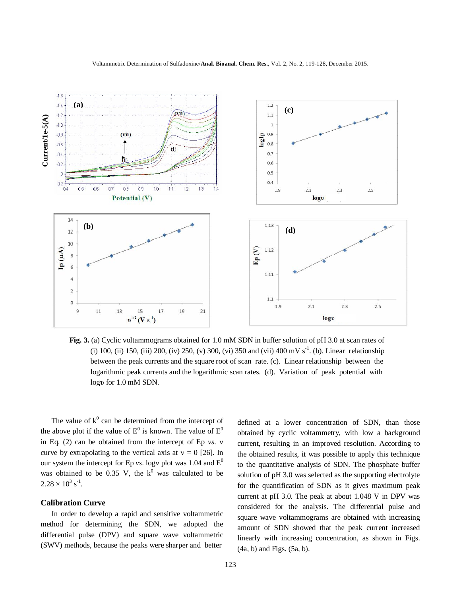



**Fig. 3.** (a) Cyclic voltammograms obtained for 1.0 mM SDN in buffer solution of pH 3.0 at scan rates of (i) 100, (ii) 150, (iii) 200, (iv) 250, (v) 300, (vi) 350 and (vii) 400 mV s<sup>-1</sup>. (b). Linear relationship between the peak currents and the square root of scan rate. (c). Linear relationship between the logarithmic peak currents and the logarithmic scan rates. (d). Variation of peak potential with log**υ** for 1.0 mM SDN.

The value of  $k^0$  can be determined from the intercept of the above plot if the value of  $E^0$  is known. The value of  $E^0$ in Eq. (2) can be obtained from the intercept of Ep *vs*. curve by extrapolating to the vertical axis at  $v = 0$  [26]. In our system the intercept for Ep *vs*. logv plot was 1.04 and  $E^0$ was obtained to be 0.35 V, the  $k^0$  was calculated to be  $2.28 \times 10^3$  s<sup>-1</sup>.

## **Calibration Curve**

In order to develop a rapid and sensitive voltammetric method for determining the SDN, we adopted the differential pulse (DPV) and square wave voltammetric (SWV) methods, because the peaks were sharper and better

defined at a lower concentration of SDN, than those obtained by cyclic voltammetry, with low a background current, resulting in an improved resolution. According to the obtained results, it was possible to apply this technique to the quantitative analysis of SDN. The phosphate buffer solution of pH 3.0 was selected as the supporting electrolyte for the quantification of SDN as it gives maximum peak current at pH 3.0. The peak at about 1.048 V in DPV was considered for the analysis. The differential pulse and square wave voltammograms are obtained with increasing amount of SDN showed that the peak current increased linearly with increasing concentration, as shown in Figs. (4a, b) and Figs. (5a, b).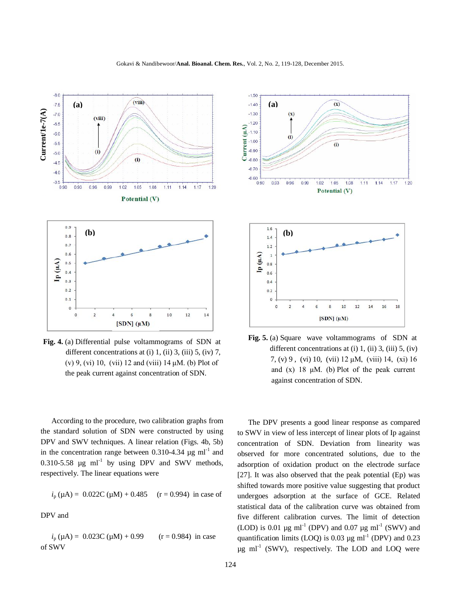

**Fig. 4.** (a) Differential pulse voltammograms of SDN at different concentrations at  $(i)$  1,  $(ii)$  3,  $(iii)$  5,  $(iv)$  7, (v) 9, (vi) 10, (vii) 12 and (viii) 14 μM. (b) Plot of the peak current against concentration of SDN.

According to the procedure, two calibration graphs from the standard solution of SDN were constructed by using DPV and SWV techniques. A linear relation (Figs. 4b, 5b) in the concentration range between 0.310-4.34  $\mu$ g ml<sup>-1</sup> and  $0.310 - 5.58$  µg ml<sup>-1</sup> by using DPV and SWV methods, respectively. The linear equations were

$$
i_p (\mu A) = 0.022C (\mu M) + 0.485
$$
 (r = 0.994) in case of

DPV and

 $i_p (\mu A) = 0.023C (\mu M) + 0.99$  (r = 0.984) in case of SWV



 **Fig. 5.** (a) Square wave voltammograms of SDN at different concentrations at  $(i)$  1,  $(ii)$  3,  $(iii)$  5,  $(iv)$  7, (v) 9 , (vi) 10, (vii) 12 μM, (viii) 14, (xi) 16 and  $(x)$  18 μM. (b) Plot of the peak current against concentration of SDN.

The DPV presents a good linear response as compared to SWV in view of less intercept of linear plots of Ip against concentration of SDN. Deviation from linearity was observed for more concentrated solutions, due to the adsorption of oxidation product on the electrode surface [27]. It was also observed that the peak potential (Ep) was shifted towards more positive value suggesting that product undergoes adsorption at the surface of GCE. Related statistical data of the calibration curve was obtained from five different calibration curves. The limit of detection (LOD) is 0.01  $\mu$ g ml<sup>-1</sup> (DPV) and 0.07  $\mu$ g ml<sup>-1</sup> (SWV) and quantification limits (LOQ) is 0.03  $\mu$ g ml<sup>-1</sup> (DPV) and 0.23  $\mu$ g ml<sup>-1</sup> (SWV), respectively. The LOD and LOQ were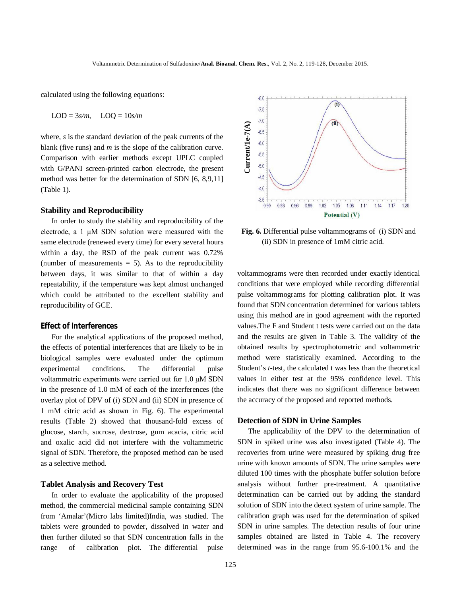calculated using the following equations:

$$
LOD = 3s/m, \quad LOQ = 10s/m
$$

where, *s* is the standard deviation of the peak currents of the blank (five runs) and *m* is the slope of the calibration curve. Comparison with earlier methods except UPLC coupled with G/PANI screen-printed carbon electrode, the present method was better for the determination of SDN [6, 8,9,11] (Table 1).

#### **Stability and Reproducibility**

In order to study the stability and reproducibility of the electrode, a 1 μM SDN solution were measured with the same electrode (renewed every time) for every several hours within a day, the RSD of the peak current was 0.72% (number of measurements  $= 5$ ). As to the reproducibility between days, it was similar to that of within a day repeatability, if the temperature was kept almost unchanged which could be attributed to the excellent stability and reproducibility of GCE.

#### **Effect of Interferences**

For the analytical applications of the proposed method, the effects of potential interferences that are likely to be in biological samples were evaluated under the optimum experimental conditions. The differential pulse voltammetric experiments were carried out for 1.0 μM SDN in the presence of 1.0 mM of each of the interferences (the overlay plot of DPV of (i) SDN and (ii) SDN in presence of 1 mM citric acid as shown in Fig. 6). The experimental results (Table 2) showed that thousand-fold excess of glucose, starch, sucrose, dextrose, gum acacia, citric acid and oxalic acid did not interfere with the voltammetric signal of SDN. Therefore, the proposed method can be used as a selective method.

#### **Tablet Analysis and Recovery Test**

In order to evaluate the applicability of the proposed method, the commercial medicinal sample containing SDN from 'Amalar'(Micro labs limited)India, was studied. The tablets were grounded to powder, dissolved in water and then further diluted so that SDN concentration falls in the range of calibration plot. The differential pulse



**Fig. 6.** Differential pulse voltammograms of (i) SDN and (ii) SDN in presence of 1mM citric acid.

voltammograms were then recorded under exactly identical conditions that were employed while recording differential pulse voltammograms for plotting calibration plot. It was found that SDN concentration determined for various tablets using this method are in good agreement with the reported values.The F and Student t tests were carried out on the data and the results are given in Table 3. The validity of the obtained results by spectrophotometric and voltammetric method were statistically examined. According to the Student's *t*-test, the calculated t was less than the theoretical values in either test at the 95% confidence level. This indicates that there was no significant difference between the accuracy of the proposed and reported methods. **Example 12.** Also the reaction of the range from the range from the range from the range from the range of the range from the range from 95.6-100.1% and the range from the range from the range of the range from 85.6-100.

#### **Detection of SDN in Urine Samples**

The applicability of the DPV to the determination of SDN in spiked urine was also investigated (Table 4). The recoveries from urine were measured by spiking drug free urine with known amounts of SDN. The urine samples were diluted 100 times with the phosphate buffer solution before analysis without further pre-treatment. A quantitative determination can be carried out by adding the standard solution of SDN into the detect system of urine sample. The calibration graph was used for the determination of spiked SDN in urine samples. The detection results of four urine samples obtained are listed in Table 4. The recovery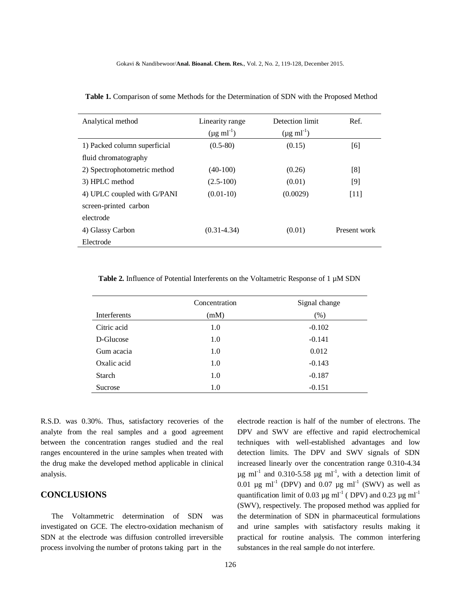| Analytical method            | Detection limit<br>Linearity range<br>$(\mu g \text{ ml}^{-1})$<br>$(\mu g \text{ ml}^{-1})$ |          | Ref.         |
|------------------------------|----------------------------------------------------------------------------------------------|----------|--------------|
| 1) Packed column superficial | $(0.5-80)$                                                                                   | (0.15)   | [6]          |
| fluid chromatography         |                                                                                              |          |              |
| 2) Spectrophotometric method | $(40-100)$                                                                                   | (0.26)   | [8]          |
| 3) HPLC method               | $(2.5-100)$                                                                                  | (0.01)   | $[9]$        |
| 4) UPLC coupled with G/PANI  | $(0.01-10)$                                                                                  | (0.0029) | [11]         |
| screen-printed carbon        |                                                                                              |          |              |
| electrode                    |                                                                                              |          |              |
| 4) Glassy Carbon             | $(0.31 - 4.34)$                                                                              | (0.01)   | Present work |
| Electrode                    |                                                                                              |          |              |

 **Table 1.** Comparison of some Methods for the Determination of SDN with the Proposed Method

Table 2. Influence of Potential Interferents on the Voltametric Response of 1  $\mu$ M SDN

|               | Concentration | Signal change |  |
|---------------|---------------|---------------|--|
| Interferents  | (mM)          | (% )          |  |
| Citric acid   | 1.0           | $-0.102$      |  |
| D-Glucose     | 1.0           | $-0.141$      |  |
| Gum acacia    | 1.0           | 0.012         |  |
| Oxalic acid   | 1.0           | $-0.143$      |  |
| <b>Starch</b> | 1.0           | $-0.187$      |  |
| Sucrose       | 1.0           | $-0.151$      |  |

R.S.D. was 0.30%. Thus, satisfactory recoveries of the analyte from the real samples and a good agreement between the concentration ranges studied and the real ranges encountered in the urine samples when treated with the drug make the developed method applicable in clinical analysis.

# **CONCLUSIONS**

The Voltammetric determination of SDN was investigated on GCE. The electro-oxidation mechanism of SDN at the electrode was diffusion controlled irreversible process involving the number of protons taking part in the

electrode reaction is half of the number of electrons. The DPV and SWV are effective and rapid electrochemical techniques with well-established advantages and low detection limits. The DPV and SWV signals of SDN increased linearly over the concentration range 0.310-4.34  $\mu$ g ml<sup>-1</sup> and 0.310-5.58  $\mu$ g ml<sup>-1</sup>, with a detection limit of 0.01  $\mu$ g ml<sup>-1</sup> (DPV) and 0.07  $\mu$ g ml<sup>-1</sup> (SWV) as well as quantification limit of 0.03  $\mu$ g ml<sup>-1</sup> (DPV) and 0.23  $\mu$ g ml<sup>-1</sup> (SWV), respectively. The proposed method was applied for the determination of SDN in pharmaceutical formulations and urine samples with satisfactory results making it practical for routine analysis. The common interfering substances in the real sample do not interfere.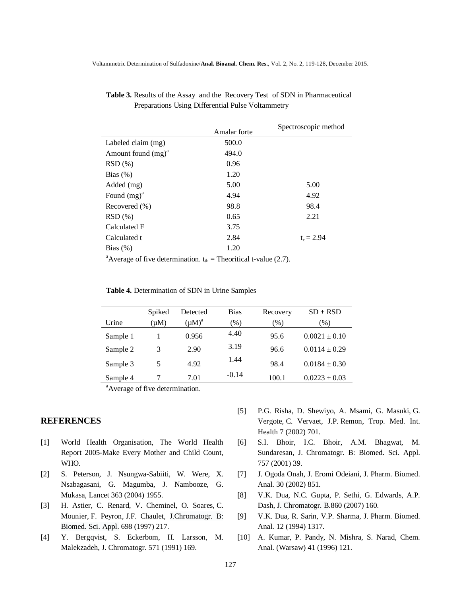|                       | Amalar forte | Spectroscopic method |
|-----------------------|--------------|----------------------|
| Labeled claim (mg)    | 500.0        |                      |
| Amount found $(mg)^a$ | 494.0        |                      |
| $RSD(\%)$             | 0.96         |                      |
| Bias $(\%)$           | 1.20         |                      |
| Added (mg)            | 5.00         | 5.00                 |
| Found $(mg)^a$        | 4.94         | 4.92                 |
| Recovered $(\% )$     | 98.8         | 98.4                 |
| $RSD(\%)$             | 0.65         | 2.21                 |
| Calculated F          | 3.75         |                      |
| Calculated t          | 2.84         | $t_c = 2.94$         |
| Bias $(\%)$           | 1.20         |                      |

 **Table 3.** Results of the Assay and the Recovery Test of SDN in Pharmaceutical Preparations Using Differential Pulse Voltammetry

<sup>a</sup>Average of five determination.  $t_{th}$  = Theoritical t-value (2.7).

| <b>Table 4.</b> Determination of SDN in Urine Samples |  |
|-------------------------------------------------------|--|
|-------------------------------------------------------|--|

|          | Spiked    | Detected    | <b>Bias</b> | Recovery | $SD \pm RSD$                 |
|----------|-----------|-------------|-------------|----------|------------------------------|
| Urine    | $(\mu M)$ | $(\mu M)^a$ | $(\%)$      | $(\%)$   | $\left( \frac{0}{0} \right)$ |
| Sample 1 |           | 0.956       | 4.40        | 95.6     | $0.0021 \pm 0.10$            |
| Sample 2 | 3         | 2.90        | 3.19        | 96.6     | $0.0114 \pm 0.29$            |
| Sample 3 | 5         | 4.92        | 1.44        | 98.4     | $0.0184 \pm 0.30$            |
| Sample 4 |           | 7.01        | $-0.14$     | 100.1    | $0.0223 \pm 0.03$            |

<sup>a</sup>Average of five determination.

## **REFERENCES**

- [1] World Health Organisation, The World Health Report 2005-Make Every Mother and Child Count, WHO.
- [2] S. Peterson, J. Nsungwa-Sabiiti, W. Were, X. Nsabagasani, G. Magumba, J. Nambooze, G. Mukasa, Lancet 363 (2004) 1955.
- [3] H. Astier, C. Renard, V. Cheminel, O. Soares, C. Mounier, F. Peyron, J.F. Chaulet, J.Chromatogr. B: Biomed. Sci. Appl. 698 (1997) 217.
- [4] Y. Bergqvist, S. Eckerbom, H. Larsson, M. Malekzadeh, J. Chromatogr. 571 (1991) 169.
- [5] P.G. Risha, D. Shewiyo, A. Msami, G. Masuki, G. Vergote, C. Vervaet, J.P. Remon, Trop. Med. Int. Health 7 (2002) 701.
- [6] S.I. Bhoir, I.C. Bhoir, A.M. Bhagwat, M. Sundaresan, J. Chromatogr. B: Biomed. Sci. Appl. 757 (2001) 39.
- [7] J. Ogoda Onah, J. Eromi Odeiani, J. Pharm. Biomed. Anal. 30 (2002) 851.
- [8] V.K. Dua, N.C. Gupta, P. Sethi, G. Edwards, A.P. Dash, J. Chromatogr. B.860 (2007) 160.
- [9] V.K. Dua, R. Sarin, V.P. Sharma, J. Pharm. Biomed. Anal. 12 (1994) 1317.
- [10] A. Kumar, P. Pandy, N. Mishra, S. Narad, Chem. Anal. (Warsaw) 41 (1996) 121.